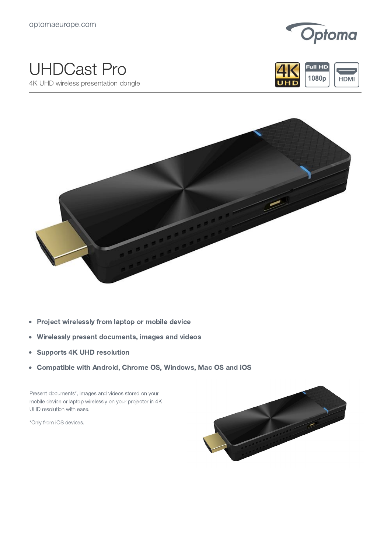

## UHDCast Pro

4K UHD wireless presentation dongle





- Project wirelessly from laptop or mobile device  $\bullet$
- Wirelessly present documents, images and videos  $\bullet$
- Supports 4K UHD resolution  $\bullet$
- Compatible with Android, Chrome OS, Windows, Mac OS and iOS  $\bullet$

Present documents\*, images and videos stored on your mobile device or laptop wirelessly on your projector in 4K UHD resolution with ease.

\*Only from iOS devices.